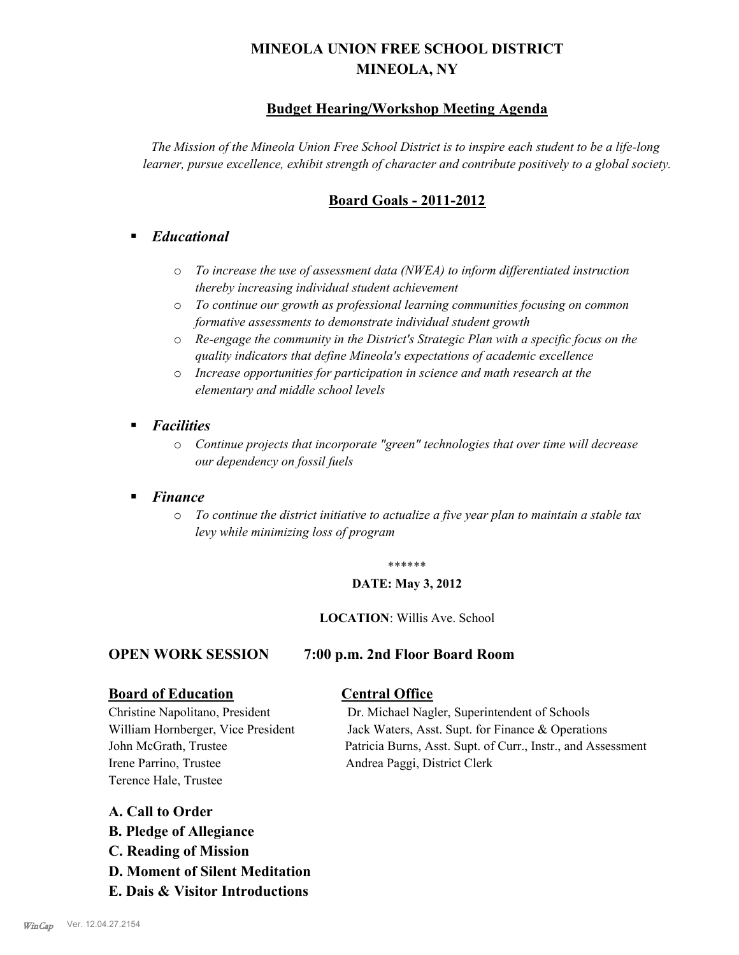# **MINEOLA UNION FREE SCHOOL DISTRICT MINEOLA, NY**

## **Budget Hearing/Workshop Meeting Agenda**

*The Mission of the Mineola Union Free School District is to inspire each student to be a life-long learner, pursue excellence, exhibit strength of character and contribute positively to a global society.*

## **Board Goals - 2011-2012**

## § *Educational*

- o *To increase the use of assessment data (NWEA) to inform differentiated instruction thereby increasing individual student achievement*
- o *To continue our growth as professional learning communities focusing on common formative assessments to demonstrate individual student growth*
- o *Re-engage the community in the District's Strategic Plan with a specific focus on the quality indicators that define Mineola's expectations of academic excellence*
- o *Increase opportunities for participation in science and math research at the elementary and middle school levels*
- *Facilities* 
	- o *Continue projects that incorporate "green" technologies that over time will decrease our dependency on fossil fuels*
- § *Finance*
	- o *To continue the district initiative to actualize a five year plan to maintain a stable tax levy while minimizing loss of program*

#### \*\*\*\*\*\*

#### **DATE: May 3, 2012**

#### **LOCATION**: Willis Ave. School

### **OPEN WORK SESSION 7:00 p.m. 2nd Floor Board Room**

### **Board of Education Central Office**

Irene Parrino, Trustee Andrea Paggi, District Clerk Terence Hale, Trustee

Christine Napolitano, President Dr. Michael Nagler, Superintendent of Schools William Hornberger, Vice President Jack Waters, Asst. Supt. for Finance & Operations John McGrath, Trustee Patricia Burns, Asst. Supt. of Curr., Instr., and Assessment

## **A. Call to Order**

- **B. Pledge of Allegiance**
- **C. Reading of Mission**
- **D. Moment of Silent Meditation**
- **E. Dais & Visitor Introductions**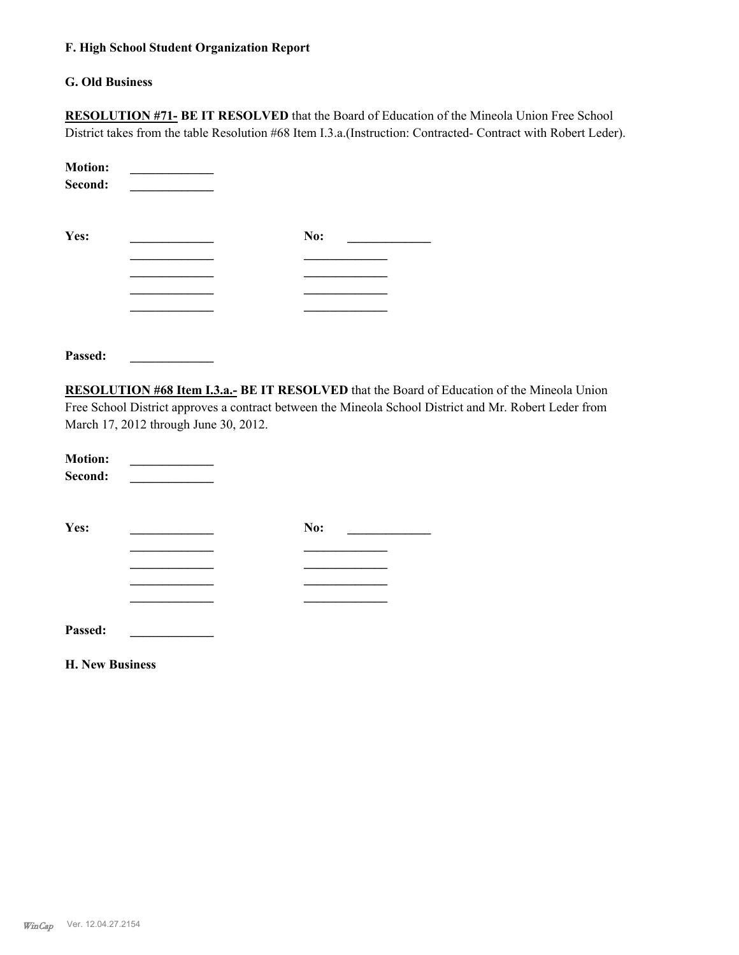#### **F. High School Student Organization Report**

### **G. Old Business**

**RESOLUTION #71- BE IT RESOLVED** that the Board of Education of the Mineola Union Free School District takes from the table Resolution #68 Item I.3.a.(Instruction: Contracted- Contract with Robert Leder).

| <b>Motion:</b><br>Second: |     |
|---------------------------|-----|
| Yes:                      | No: |
|                           |     |
|                           |     |
|                           |     |
|                           |     |

**Passed: \_\_\_\_\_\_\_\_\_\_\_\_\_**

**RESOLUTION #68 Item I.3.a.- BE IT RESOLVED** that the Board of Education of the Mineola Union Free School District approves a contract between the Mineola School District and Mr. Robert Leder from March 17, 2012 through June 30, 2012.

| <b>Motion:</b><br>Second: |     |
|---------------------------|-----|
| Yes:                      | No: |
|                           |     |
|                           |     |
|                           |     |
|                           |     |
| Passed:                   |     |

**H. New Business**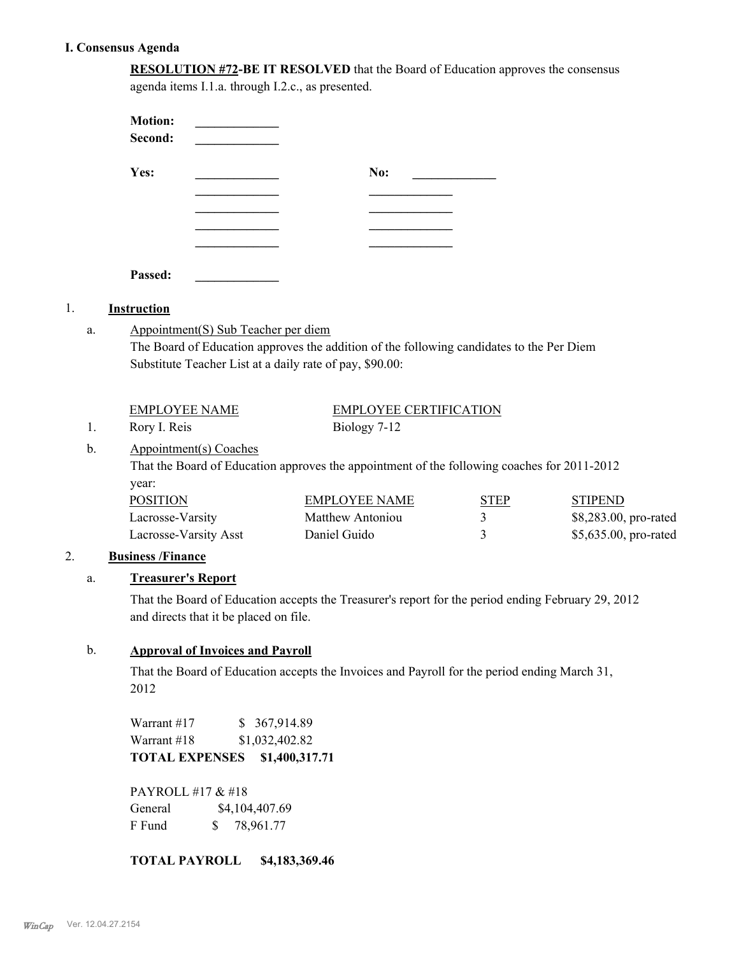## **I. Consensus Agenda**

1. **Instruction**

**RESOLUTION #72-BE IT RESOLVED** that the Board of Education approves the consensus agenda items I.1.a. through I.2.c., as presented.

|                                                                                                                                                                                                   |                | <b>Motion:</b><br>Second:            |                                         |                                                                                                    |             |                       |
|---------------------------------------------------------------------------------------------------------------------------------------------------------------------------------------------------|----------------|--------------------------------------|-----------------------------------------|----------------------------------------------------------------------------------------------------|-------------|-----------------------|
|                                                                                                                                                                                                   |                | Yes:                                 |                                         | No:                                                                                                |             |                       |
|                                                                                                                                                                                                   |                |                                      |                                         |                                                                                                    |             |                       |
|                                                                                                                                                                                                   |                |                                      |                                         |                                                                                                    |             |                       |
|                                                                                                                                                                                                   |                | Passed:                              |                                         |                                                                                                    |             |                       |
| 1.                                                                                                                                                                                                |                | <b>Instruction</b>                   |                                         |                                                                                                    |             |                       |
| Appointment(S) Sub Teacher per diem<br>a.<br>The Board of Education approves the addition of the following candidates to the Per Diem<br>Substitute Teacher List at a daily rate of pay, \$90.00: |                |                                      |                                         |                                                                                                    |             |                       |
|                                                                                                                                                                                                   | 1.             | <b>EMPLOYEE NAME</b><br>Rory I. Reis |                                         | <b>EMPLOYEE CERTIFICATION</b><br>Biology 7-12                                                      |             |                       |
| Appointment(s) Coaches<br>b.<br>That the Board of Education approves the appointment of the following coaches for 2011-2012<br>year:                                                              |                |                                      |                                         |                                                                                                    |             |                       |
|                                                                                                                                                                                                   |                | <b>POSITION</b>                      |                                         | <b>EMPLOYEE NAME</b>                                                                               | <b>STEP</b> | <b>STIPEND</b>        |
|                                                                                                                                                                                                   |                | Lacrosse-Varsity                     |                                         | Matthew Antoniou                                                                                   | 3           | \$8,283.00, pro-rated |
|                                                                                                                                                                                                   |                | Lacrosse-Varsity Asst                |                                         | Daniel Guido                                                                                       | 3           | \$5,635.00, pro-rated |
| 2.                                                                                                                                                                                                |                | <b>Business /Finance</b>             |                                         |                                                                                                    |             |                       |
|                                                                                                                                                                                                   | a.             | <b>Treasurer's Report</b>            |                                         |                                                                                                    |             |                       |
|                                                                                                                                                                                                   |                |                                      | and directs that it be placed on file.  | That the Board of Education accepts the Treasurer's report for the period ending February 29, 2012 |             |                       |
|                                                                                                                                                                                                   | $\mathbf{b}$ . |                                      | <b>Approval of Invoices and Payroll</b> |                                                                                                    |             |                       |

That the Board of Education accepts the Invoices and Payroll for the period ending March 31, 2012

Warrant #17 \$ 367,914.89 Warrant #18 \$1,032,402.82 **TOTAL EXPENSES \$1,400,317.71** 

PAYROLL #17 & #18 General  $$4,104,407.69$ F Fund \$ 78,961.77

**TOTAL PAYROLL \$4,183,369.46**